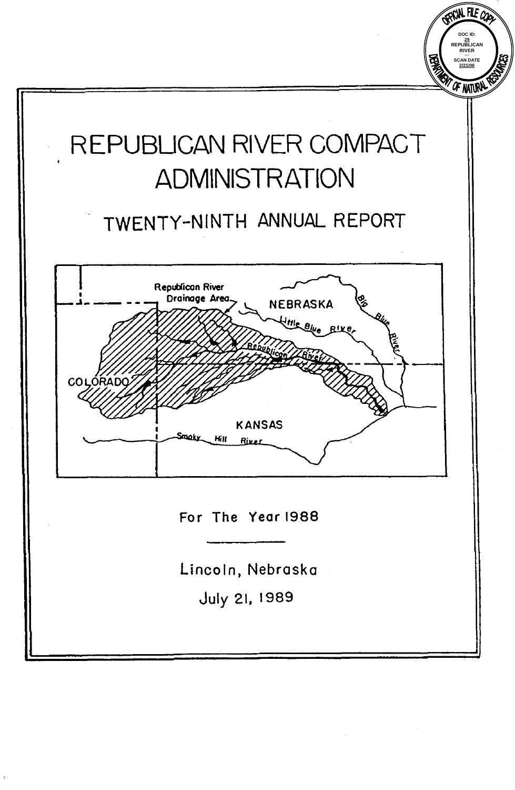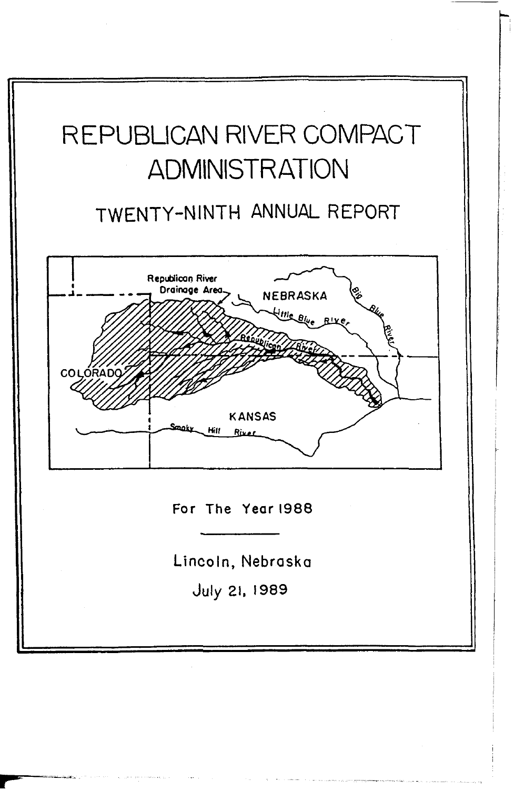# REPUBLICAN RIVER COMPACT ADMINISTRATION

## TWENTY-NINTH ANNUAL REPORT



**For The Year 1988** 

Lincoln, **Nebraska** 

July **21, 1989**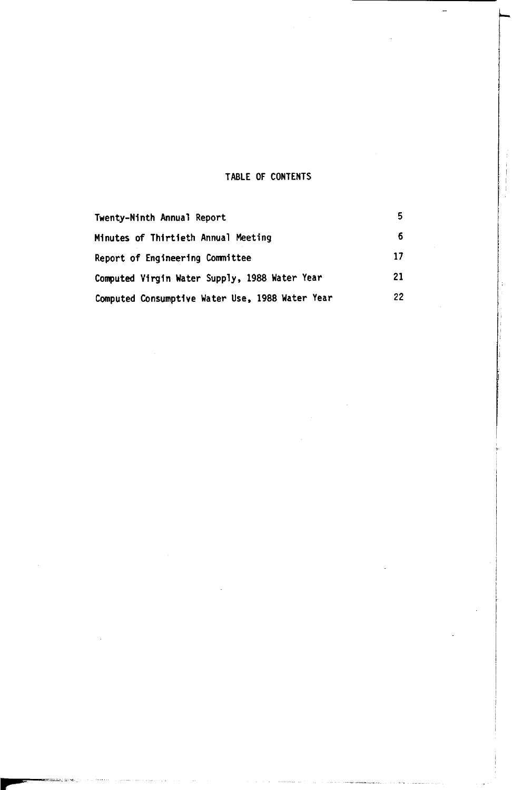#### **TABLE OF CONTENTS**

| Twenty-Ninth Annual Report                      |    |
|-------------------------------------------------|----|
| Minutes of Thirtieth Annual Meeting             |    |
| Report of Engineering Committee                 | 17 |
| Computed Virgin Water Supply, 1988 Water Year   | 21 |
| Computed Consumptive Water Use, 1988 Water Year | 22 |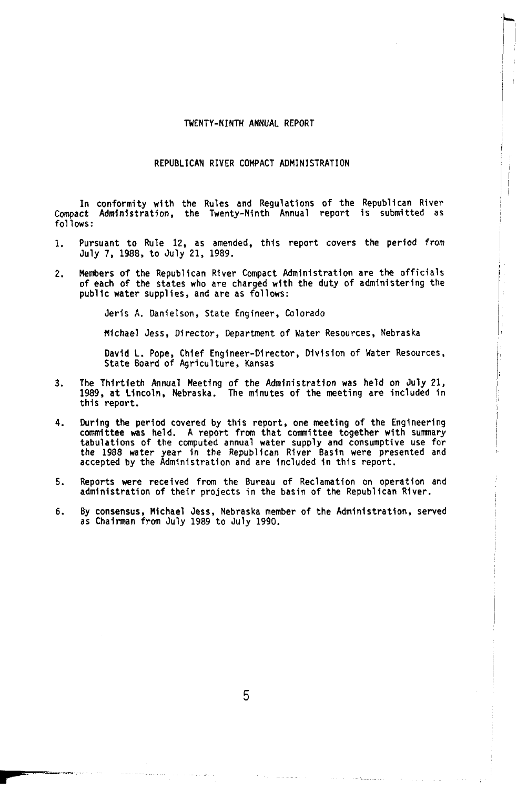#### TWENTY-NINTH ANNUAL REPORT

#### REPUBLICAN RIVER COMPACT ADMINISTRATION

In conformity with the Rules and Regulations of the Republican River Compact Administration, the Twenty-Ninth Annual report is submitted as follows:

- 1. Pursuant to Rule **12,** as amended, this report covers the period from July 7, 1988, to July 21, 1989.
- 2. Members of the Republican River Compact Administration are the officials of each of the states who are charged with the duty of administering the public water supplies, and are as follows:

Jeris A. Danielson, State Engineer, Colorado

Michael Jess, Director, Department of Water Resources. Nebraska

David L. Pope, Chief Engineer-Director, Division of Water Resources, State Board of Agriculture, Kansas

- 3. The Thirtieth Annual Meeting *of* the Administration was held **on** July 21, 1989, at Lincoln, Nebraska. The minutes of the meeting are included in this report.
- 4. During the period covered by this report, one meeting of the Engineering committee was held. A report from that committee together with summary<br>tabulations of the computed annual water supply and consumptive use for<br>the 1988 water year in the Republican River Basin were presented and<br>accepted
- 5. Reports were received from the Bureau of Reclamation **on** operation and administration of their projects in the basin of the Republican River.
- 6. By consensus, Michael Jess. Nebraska member of the Administration, served as Chairman from July 1989 to July 1990.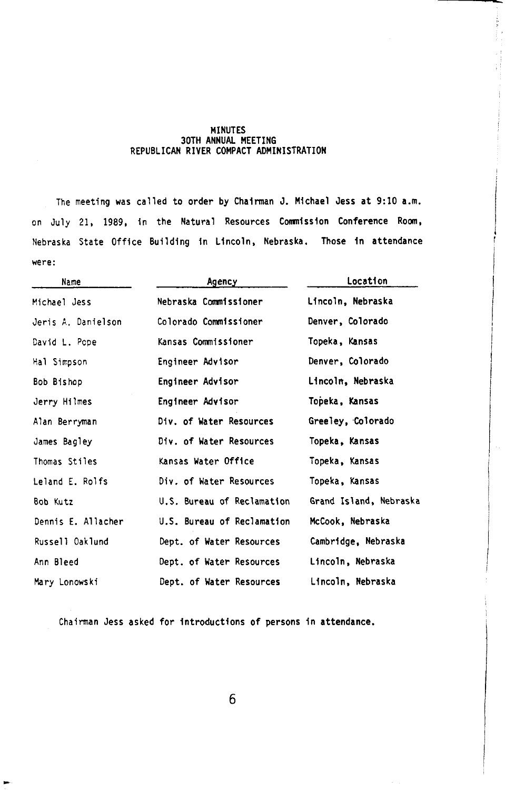#### MINUTES 30TH ANNUAL MEETING REPUBLICAN RIVER COMPACT ADMINISTRATION

The meeting was called to order by Chairman J. Michael Jess at 9:10 a.m. on July 21, 1989, in the Natural Resources Commission Conference Room, Nebraska State Office Building in Lincoln, Nebraska. Those in attendance were:

| Name               | Agency                     | Location               |  |  |  |  |  |
|--------------------|----------------------------|------------------------|--|--|--|--|--|
| Michael Jess       | Nebraska Commissioner      | Lincoln, Nebraska      |  |  |  |  |  |
| Jeris A. Danielson | Colorado Commissioner      | Denver, Colorado       |  |  |  |  |  |
| David L. Pope      | Kansas Commissioner        | Topeka, Kansas         |  |  |  |  |  |
| Hal Simpson        | Engineer Advisor           | Denver, Colorado       |  |  |  |  |  |
| Bob Bishop         | Engineer Advisor           | Lincoln, Nebraska      |  |  |  |  |  |
| Jerry Hilmes       | Engineer Advisor           | Topeka, Kansas         |  |  |  |  |  |
| Alan Berryman      | Div. of Water Resources    | Greeley, Colorado      |  |  |  |  |  |
| James Bagley       | Div. of Water Resources    | Topeka, Kansas         |  |  |  |  |  |
| Thomas Stiles      | Kansas Water Office        | Topeka, Kansas         |  |  |  |  |  |
| Leland E. Rolfs    | Div. of Water Resources    | Topeka, Kansas         |  |  |  |  |  |
| Bob Kutz           | U.S. Bureau of Reclamation | Grand Island, Nebraska |  |  |  |  |  |
| Dennis E. Allacher | U.S. Bureau of Reclamation | McCook, Nebraska       |  |  |  |  |  |
| Russell Oaklund    | Dept. of Water Resources   | Cambridge, Nebraska    |  |  |  |  |  |
| Ann Bleed          | Dept. of Water Resources   | Lincoln, Nebraska      |  |  |  |  |  |
| Mary Lonowski      | Dept. of Water Resources   | Lincoln, Nebraska      |  |  |  |  |  |

Chairman Jess asked for introductions of persons in attendance.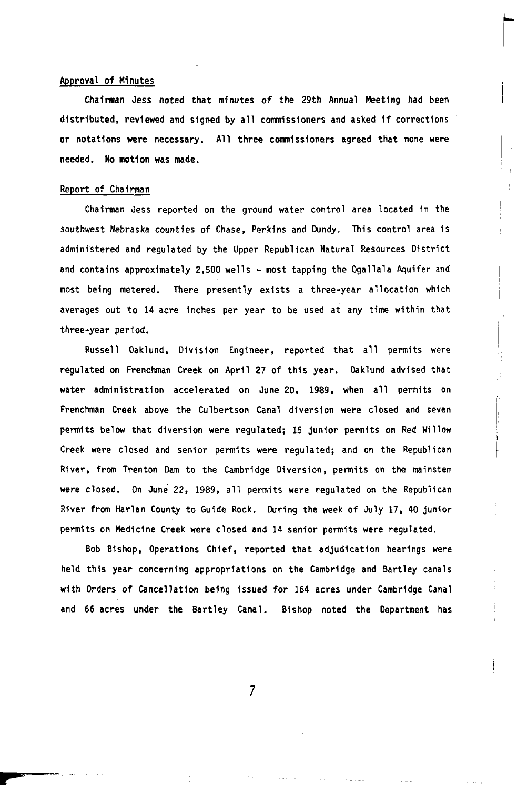#### Approval of Minutes

Chairman Jess noted that minutes of the 29th Annual Meeting had been distributed, reviewed and signed by all Commissioners and asked if corrections or notations **were** necessary. All three commissioners agreed that none were needed. No motion was made.

#### Report of Chairman

Chairman Jess reported on the ground water control area located in the southwest Nebraska counties of Chase, Perkins and Dundy. This control area is administered and regulated by the Upper Republican Natural Resources District and contains approximately 2,500 wells - most tapping the Ogallala Aquifer and most being metered. There presently exists a three-year allocation which averages out to 14 acre inches per year to be used at any time within that three-year period.

Russell Oaklund, Division Engineer, reported that all permits were regulated on Frenchman Creek on April **27** of this year. Oaklund advised that water administration accelerated on June **20,** 1989, when all permits on Frenchman Creek above the Culbertson Canal diversion were closed and seven permits below that diversion were regulated; **15** junior permits on Red Willow Creek were closed and senior permits were regulated; and on the Republican River, from Trenton Dam to the Cambridge Diversion, permits on the mainstem were closed. On June **22,** 1989, all permits were regulated on the Republican River from Harlan County to Guide Rock. During the week of July 17, 40 junior permits on Medicine Creek were closed and 14 senior permits were regulated.

Bob Bishop, Operations Chief, reported that adjudication hearings were held this year concerning appropriations on the Cambridge and Bartley canals with Orders of Cancellation being issued for 164 acres under Cambridge Canal and 66 acres under the Bartley Canal. Bishop noted the Department has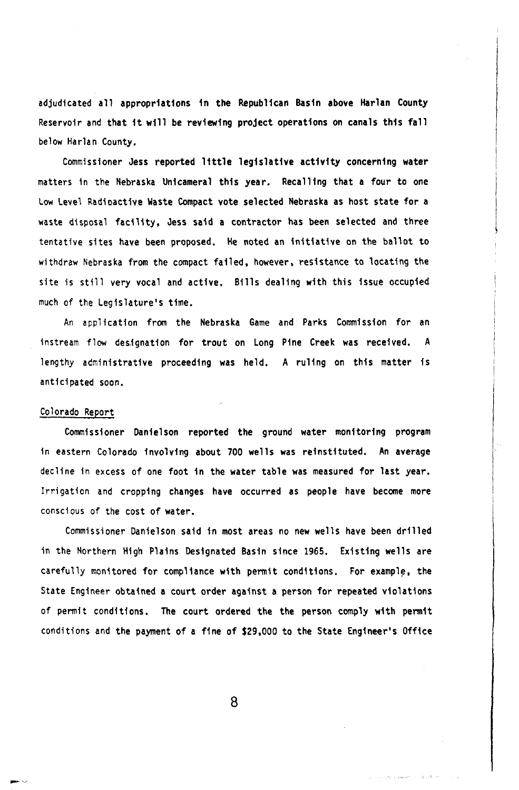adjudicated all appropriations in the Republican Basin above Harlan County Reservoir and that it will be reviewing project operations on canals this fall below Harlan County,

Commissioner Jess reported little legislative activity concerning water matters in the Nebraska Unicameral this year, Recalling that a four to one Low Level Radioactive Waste Compact vote selected Nebraska as host state for a waste disposal facility, Jess said a contractor has been selected and three tentative sites have been proposed. He noted an initiative on the ballot to withdraw Nebraska from the compact failed, however, resistance to locating the site is still very vocal and active. Bills dealing with this issue occupied much of the Legislature's time.

An application from the Nebraska Game and Parks Commission for an instream flow designation for trout on Long Pine Creek was received. A lengthy administrative proceeding was held. A ruling on this matter is anticipated soon.

#### Colorado Report

Commissioner Danielson reported the ground water monitoring program in eastern Colorado involving about 700 wells was reinstituted. An average decline in excess of one foot in the water table was measured for last year. Irrigation and cropping changes have occurred as people have become more conscious of the cost of water.

Commissioner Danielson said in most areas no new wells have been drilled in the Northern High Plains Designated Basin since 1965. Existing wells are carefully monitored for compliance with permit conditions. For example, the State Engineer obtained a court order against a person for repeated violations of permit conditions, The court ordered the the person comply with permit conditions and the payment of a fine of \$29,000 to the State Engineer's Office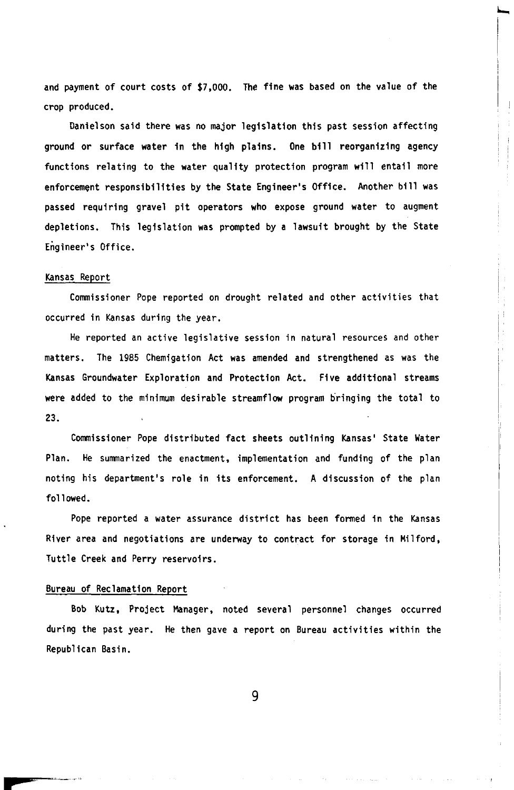and payment of court costs of \$7,000. The fine was based on the value of the crop produced.

Danielson said there was no major legislation this past session affecting ground or surface water in the high plains. One bill reorganizing agency functions relating to the water quality protection program will entail more enforcement responsibilities by the State Engineer's Office. Another bill was passed requiring gravel pit operators who expose ground water to augment depletions. This legislation was prompted by a lawsuit brought by the State Engineer's Office.

#### Kansas Report

Commissioner Pope reported on drought related and other activities that occurred in Kansas during the year.

He reported an active legislative session in natural resources and other matters. The 1985 Chemigation Act was amended and strengthened as was the Kansas Groundwater Exploration and Protection Act. Five additional streams were added to the minimum desirable streamflow program bringing the total to **23.** 

Commissioner Pope distributed fact sheets outlining Kansas' State Water Plan. He summarized the enactment, implementation and funding of the plan noting his department's role in its enforcement. A discussion of the plan followed.

Pope reported a water assurance district has been formed in the Kansas River area and negotiations are underway to contract for storage in Milford, Tuttle Creek and Perry reservoirs.

#### Bureau of Reclamation Report

Bob Kutz. Project Manager, noted several personnel changes occurred during the past year. He then gave a report on Bureau activities within the Republican Basin.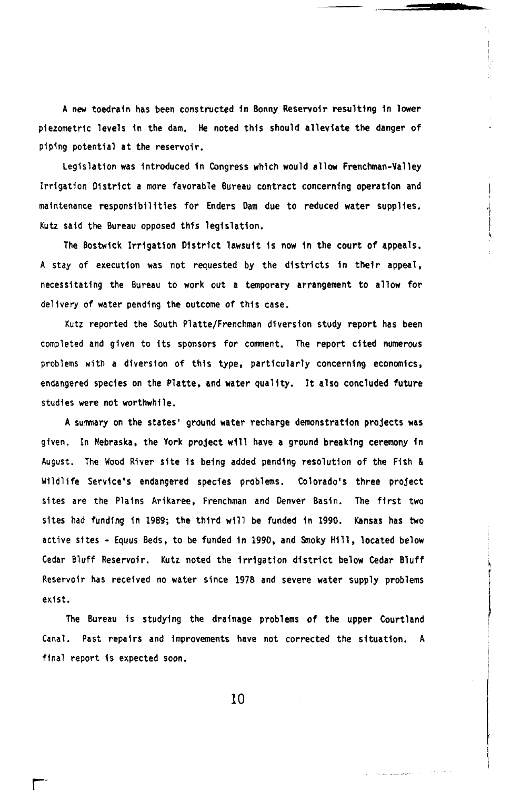A new toedrain has been constructed in Bonny Reservoir resulting in lower piezometric levels in the dam. He noted this should alleviate the danger of piping potential at the reservoir.

Legislation was introduced in Congress which would allow Frenchman-Valley Irrigation District a more favorable Bureau contract concerning operation and maintenance responsibilities for Enders Dam due to reduced water supplies. Kutz said the Bureau opposed this legislation.

The Bostwick Irrigation District lawsuit is now in the court of appeals. **<sup>A</sup>**stay of execution was not requested by the districts in their appeal, necessitating the Bureau to work out a temporary arrangement to allow for delivery of water pending the outcome of this case.

Kutz reported the South Platte/Frenchman diversion study report has been completed and given to its sponsors for comment. The report cited numerous problems with a diversion of this type, particularly concerning economics, endangered species on the Platte, and water quality. It also concluded future studies were not worthwhile.

**<sup>A</sup>**summary on the states' ground water recharge demonstration projects was given. **In** Nebraska, the York project will have a ground breaking ceremony In August. The Wood River site Is being added pending resolution of the Fish & Wildlife Service's endangered species problems. Colorado's three project sites are the Plains Arikaree, Frenchman and Denver Basin. The first two sites had funding in 1989; the third will be funded in 1990. Kansas has **two**  active sites - Equus Beds, to be funded in 1990, and Smoky Hill, located below Cedar Bluff Reservoir. Kutz noted the irrigation district below Cedar Bluff Reservoir has received **no** water since 1978 and severe water supply problems exist.

The Bureau *is* studying the drainage problems of the upper Courtland Canal. Past repairs and improvements have not corrected the situation. **<sup>A</sup>** final report **Is** expected **soon.**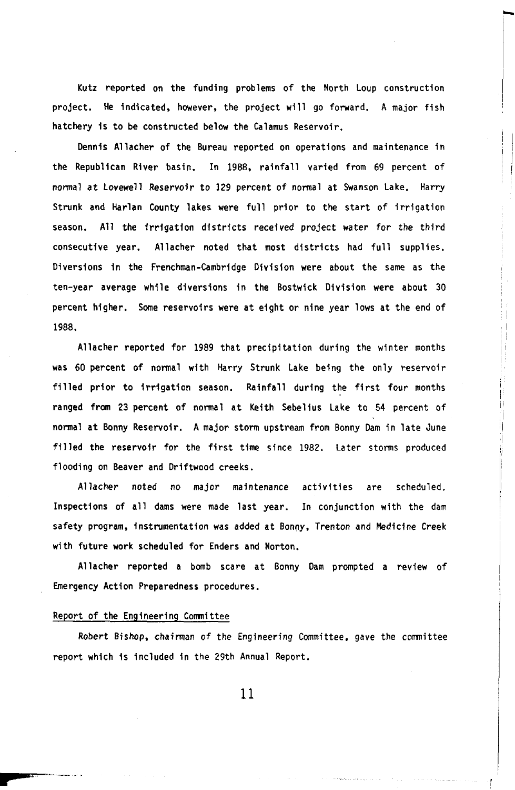Kutz reported on the funding problems of the North Loup construction project. He indicated, however, the project will go forward. A major fish hatchery is to be constructed below the Calamus Reservoir.

Dennis Allacher of the Bureau reported on operations and maintenance in the Republican River basin. In 1988, rainfall varied from 69 percent of normal at Lovewell Reservoir to 129 percent of normal at Swanson Lake. Harry Strunk and Harlan County lakes were full prior to the start of irrigation season. All the irrigation districts received project water for the third consecutive year. Allacher noted that most districts had full supplies. Diversions in the Frenchman-Cambridge Division were about the same as the ten-year average while diversions in the Bostwick Division were about 30 percent higher. Some reservoirs were at eight or nine year lows at the end of 1988.

Allacher reported for 1989 that precipitation during the winter months was 60 percent of normal with Harry Strunk Lake being the only reservoir filled prior to irrigation season. Rainfall during the first four months ranged from 23 percent of normal at Keith Sebelius Lake to 54 percent of normal at Bonny Reservoir. A major storm upstream from Bonny Dam in late June filled the reservoir for the first time since 1982. Later storms produced flooding on Beaver and Driftwood creeks.

Allacher noted **no** major maintenance activities are scheduled. Inspections of all dams were made last year. In conjunction with the dam safety program, instrumentation was added at Bonny, Trenton and Medicine Creek with future work scheduled for Enders and Norton.

Allacher reported a bomb scare at Bonny Dam prompted a review of Emergency Action Preparedness procedures.

#### Report of the Engineering Commitee

Robert Bishop, chairman of the Engineering Committee, gave the committee report which is included in the 29th Annual Report.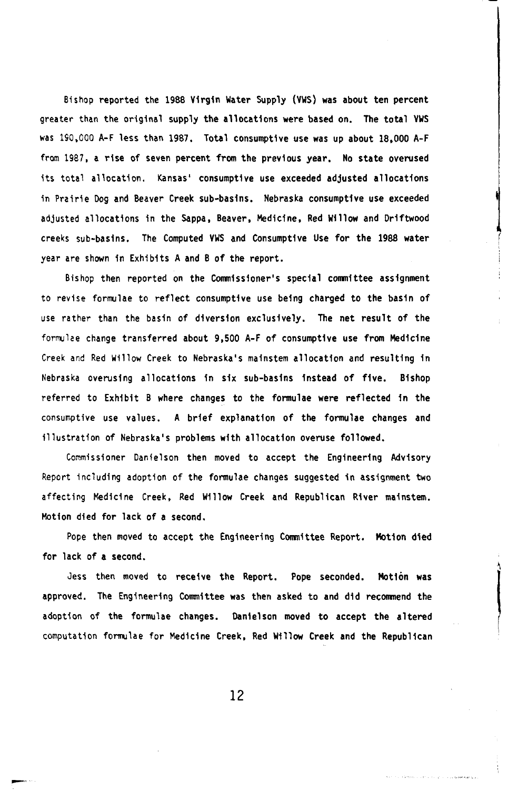Bishop reported the 1988 virgin Water Supply (VWS) was about ten percent greater than the original supply the allocations were based on. The total VWS was **190,000** A-F less than 1987. Total consumptive use was up about 18,000 A-F from 1987, a rise of seven percent **from** the previous year. **No** state overused its total allocation. Kansas' consumptive use exceeded adjusted allocations in Prairie **Dog** and Beaver Creek sub-basins. Nebraska consumptive use exceeded adjusted allocations in the Sappa, Beaver, Medicine, Red Willow and Driftwood creeks sub-basins. The Computed VWS and Consumptive Use for the 1988 water year are shown in Exhibits A and **B** of the report.

Bishop then reported on the Commissioner's special committee assignment to revise formulae to reflect consumptive use being charged to the basin of use rather than the basin of diversion exclusively. The net result of the formulae change transferred about 9,500 A-F of consumptive use from Medicine Creek and Red Willow Creek to Nebraska's mainstem allocation and resulting in Nebraska overusing allocations in six sib-basins instead of five. Bishop referred to Exhibit **B** where changes to the formulae were reflected in the consumptive use values. A brief explanation of the formulae changes and illustration of Nebraska's problems with allocation overuse followed.

Commissioner Danielson then moved to accept the Engineering Advisory Report including adoption of the formulae changes suggested in assignment two affecting Medicine Creek, Red Willow Creek and Republican River mainstem. Motion died **for** lack of a second,

Pope then moved to accept the Engineering Committee Report. Motion died for lack of a second.

Jess then moved to receive the Report. Pope seconded. Motion was approved. The Engineering Committee was then asked to and did recommend the adoption of the formulae changes. Danielson moved to accept the altered computation formulae for Medicine Creek, Red WIllow Creek and the Republican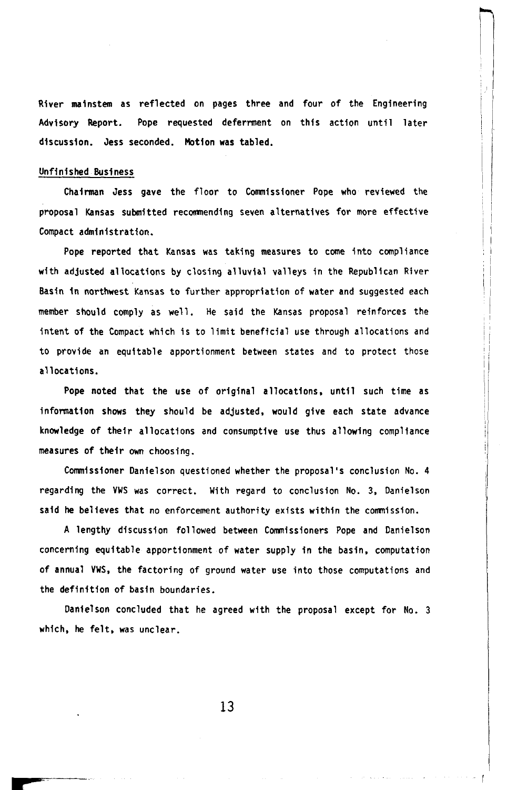River mainstem as reflected on pages three and four of the Engineering Advisory Report. Pope requested deferment on this action until later discussion. Jess seconded. Motion was tabled.

#### Unfinished Business

Chairman Jess gave the floor to Commissioner Pope who reviewed the proposal Kansas submitted recommending seven alternatives for more effective Compact administration.

Pope reported that Kansas was taking measures to come into compliance with adjusted allocations by closing alluvial valleys in the Republican River Basin in northwest Kansas to further appropriation of water and suggested each member should comply as well. He said the Kansas proposal reinforces the intent of the Compact which is to limit beneficial use through allocations and to provide an equitable apportionment between states and to protect those allocations.

Pope noted that the use of original allocations, until such time as information shows they should be adjusted, would give each state advance knowledge of their allocations and consumptive use thus allowing compliance measures of their *own* choosing.

Commissioner Danielson questioned whether the proposal's conclusion No. 4 regarding the VWS was correct. With regard to conclusion No. **3,** Danielson said he believes that no enforcement authority exists within the commission.

A lengthy discussion followed between Commissioners Pope and Danielson concerning equitable apportionment of water supply in the basin, computation of annual VWS, the factoring of ground water use into those computations and the definition of basin boundaries.

Danielson concluded that he agreed with the proposal except for No. 3 which, he felt, was unclear.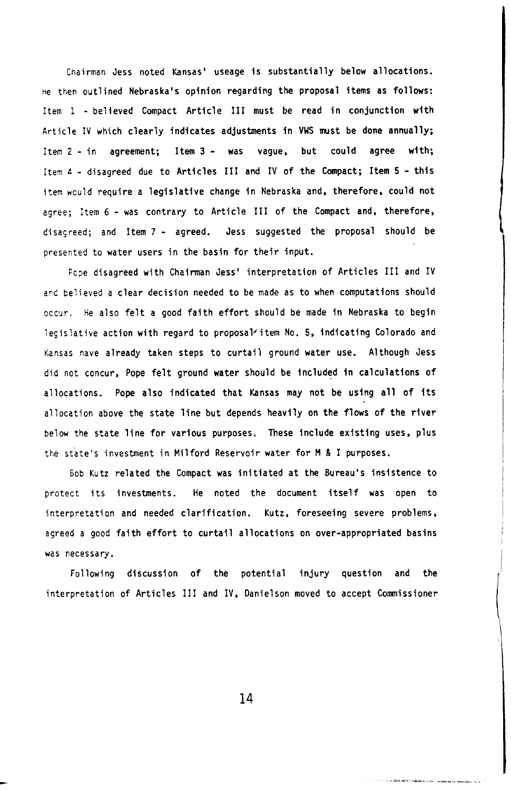**Chairman Jess noted Kansas' useage is substantially below allocations. he then outlined Nebraska's opinion regarding the proposal items as follows: Item** 1 - **believed Compact Article III must be read in conjunction with Article IV which clearly indicates adjustments in VWS must be done annually; Item 2** - **in agreement; Item 3** - **was vague, but could agree with; Item 4** - **disagreed due to Articles III and IV of the Compact; Item 5** - **this item would require a legislative change in Nebraska and, therefore, could not agree; Item 6** - **was contrary to Article III of the Compact and, therefore, disagreed; and Item 7** - **agreed. Jess suggested the proposal should be presented to water users in the basin for their input.** 

**Pope disagreed with Chairman Jess' interpretation of Articles III and IV**  and **believed a clear decision needed to be made as to when computations should occur. he also felt a good faith effort should be made in Nebraska to begin**  legislative action with regard to proposal<sup>2</sup>item No. 5, indicating Colorado and **Kansas have already taken steps to curtail ground water use. Although Jess did not concur, Pope felt ground water should be included in calculations of allocations.** Pope **also indicated that Kansas may not be using all of its allocation above the state line but depends heavily on the flows of the river below the state line for various purposes, These include existing uses, plus the state's investment in Milford Reservoir water for M & I purposes.** 

*Bob* **Kutz related the Compact was initiated at the Bureau's insistence to protect its investments. He noted the document itself was open to interpretation and needed clarification. Kutz. foreseeing severe problems, agreed a good faith effort to curtail allocations on over-appropriated basins was necessary.** 

**Following discussion of the potential injury question and the interpretation of Articles III and IV. Danielson moved to accept Commissioner**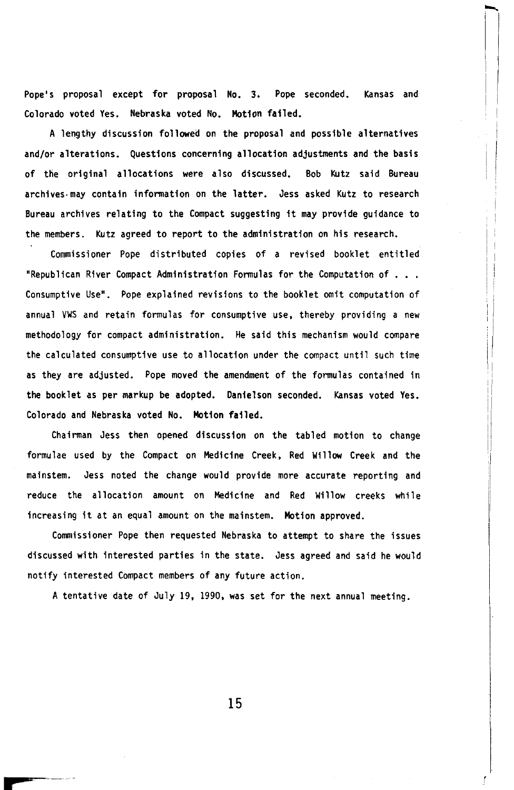Pope's proposal except for proposal No. 3. Pope seconded. Kansas and Colorado voted Yes. Nebraska voted No. Motion failed.

A lengthy discussion followed on the proposal and possible alternatives and/or alterations. Questions concerning allocation adjustments and the basis of the original allocations were also discussed. Bob Kutz said Bureau archives may contain information on the latter. Jess asked Kutz to research Bureau archives relating to the Compact suggesting it may provide guidance to the members. Kutz agreed to report to the administration on his research.

Commissioner Pope distributed copies of a revised booklet entitled "Republican River Compact Administration Formulas for the Computation of Consumptive Use". Pope explained revisions to the booklet omit computation of annual VWS and retain formulas for consumptive use, thereby providing a new methodology for compact administration. He said this mechanism would compare the calculated consumptive use to allocation under the compact until such time as they are adjusted. Pope moved the amendment of the formulas contained in the booklet as per markup be adopted. Danielson seconded. Kansas voted Yes. Colorado and Nebraska voted No. Motion failed.

Chairman Jess then opened discussion on the tabled motion to change formulae used by the Compact on Medicine Creek, Red Willow Creek and the mainstem. Jess noted the change would provide more accurate reporting and reduce the allocation amount on Medicine and Red Willow creeks while Increasing it at an equal amount on the mainstem. Motion approved.

Commissioner Pope then requested Nebraska to attempt to share the issues discussed with interested parties in the state. Jess agreed and said he would notify interested Compact members of any future action.

A tentative date of July 19. 1990, was set for the next annual meeting.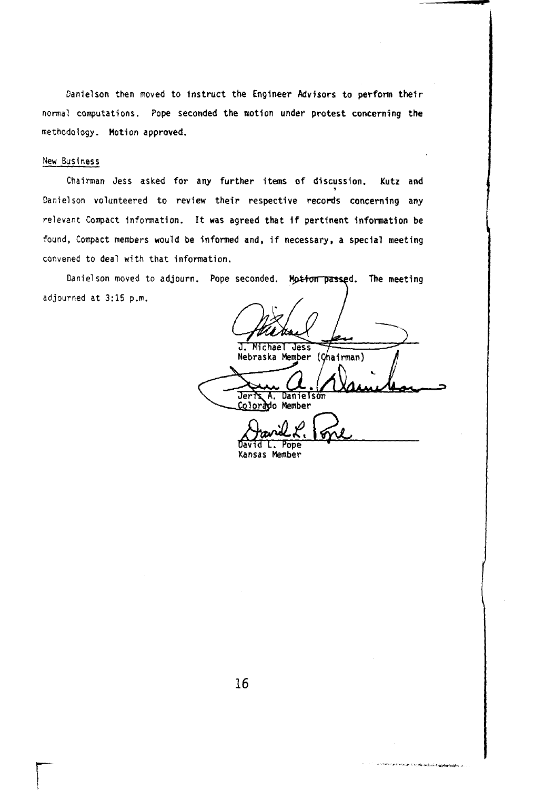Danielson then moved to instruct the Engineer Advisors *to* perform their normal computations. Pope seconded the motion under protest concerning the methodology. Motion approved.

#### New Business

Chairman Jess asked for any further items of discussion. Kutz and Danielson volunteered to review their respective records concerning any relevant Compact information. It was agreed that **if** pertinent information be found, Compact members would be informed and, if necessary, a special meeting convened to deal with that information.

Danielson moved to adjourn. Pope seconded. Motion passed. The meeting adjourned at **3:15** p.m.

**J. Michael Jess** Michael Nebraska Member (Chairman) Danielson **Jeris A. Danielson** 

restratoria de la comunicación

David **L.** Pope **Kansas** Member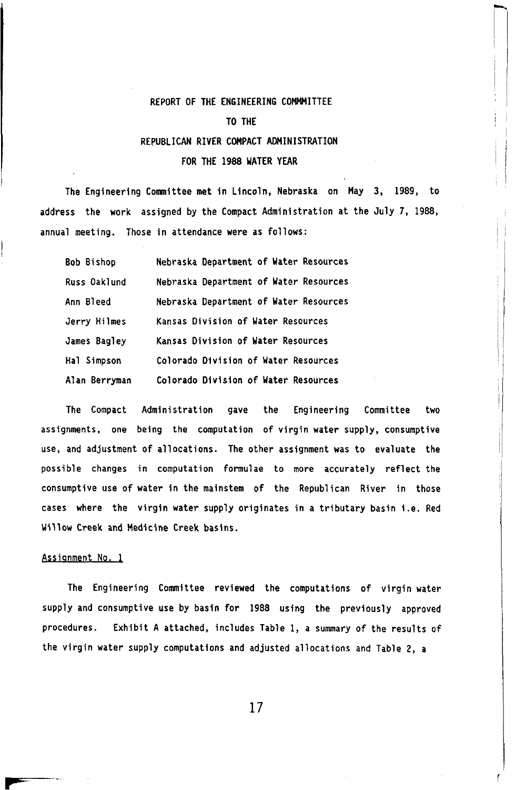#### <span id="page-15-0"></span>REPORT OF THE ENGINEERING COMMITTEE

#### TO THE

#### REPUBLICAN RIVER COMPACT ADMINISTRATION

#### FOR THE **1988** WATER YEAR

The Engineering Committee met in Lincoln, Nebraska on May 3, 1989, to address the work assigned by the Compact Administration at the July 7, 1988, annual meeting. Those in attendance were as follows:

| Bob Bishop    | Nebraska Department of Water Resources |
|---------------|----------------------------------------|
| Russ Oaklund  | Nebraska Department of Water Resources |
| Ann Bleed     | Nebraska Department of Water Resources |
| Jerry Hilmes  | Kansas Division of Water Resources     |
| James Bagley  | Kansas Division of Water Resources     |
| Hal Simpson   | Colorado Division of Water Resources   |
| Alan Berryman | Colorado Division of Water Resources   |

The Compact Administration gave the Engineering Committee two assignments, one being the computation of virgin water supply, consumptive use, and adjustment of allocations. The other assignment was to evaluate the possible changes in computation formulae to more accurately reflect the consumptive use of water in the mainstem of the Republican River in those cases where the virgin water supply originates in a tributary basin i.e. Red Willow Creek and Medicine Creek basins.

#### Assignment **No. 1**

The Engineering Committee reviewed the computations of virgin water supply and consumptive use by basin for **1988** using the previously approved procedures. Exhibit A attached, includes Table **1,** a summary of the results of the virgin water supply computations and adjusted allocations and Table 2, a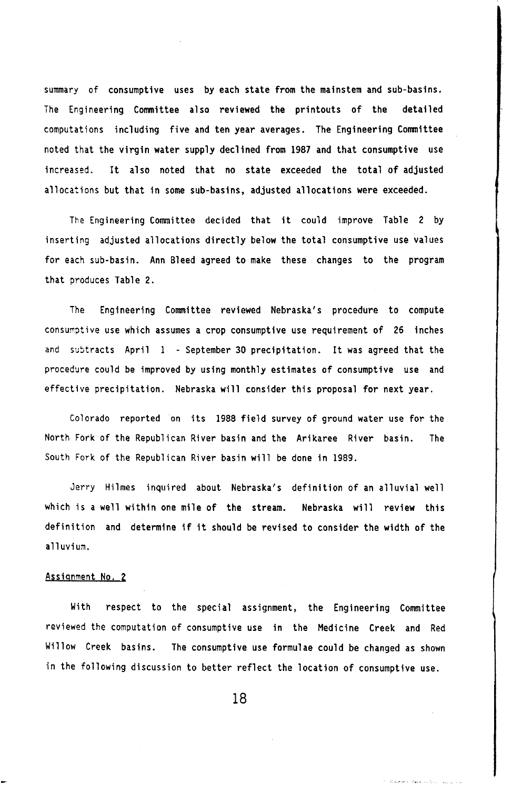**summary of consumptive uses by each state from the mainstem and sub-basins. The Engineering Committee also reviewed the printouts of the detailed computations including five and ten year averages. The Engineering Committee noted that the virgin water supply declined from** 1987 **and that consumptive use increased. It also noted that no state exceeded the total of adjusted allocations but that in some sub-basins, adjusted allocations were exceeded.** 

**The Engineering Committee decided that it could improve [Table 2](#page-20-0) by inserting adjusted allocations directly below the total consumptive use values for each sub-basin. Ann Bleed agreed to make these changes to the program that produces [Table 2.](#page-20-0)** 

**The Engineering Committee reviewed Nebraska's procedure to compute consumptive use which assumes a crop consumptive use requirement of 26 inches and subtracts April 1** - **September 30 precipitation. It was agreed that the procedure could be improved by using monthly estimates of consumptive and use effective precipitation. Nebraska will consider this proposal for next year.** 

**Colorado reported on its** 1988 **field survey of ground water use for the North Fork of the Republican River basin and the Arikaree River basin. The South Fork of the Republican River basin will be done in** 1989.

**Jerry Hilmes inquired about Nebraska's definition of an alluvial well which is a well within one mile of the stream. Nebraska will review this definition and determine if it should be revised to consider the width of the alluvium.** 

#### **Assignment No. 2**

**With respect to the special assignment, the Engineering Committee reviewed the computation of consumptive use in the Medicine Creek and Red Willow Creek basins. The consumptive use formulae could be changed as shown in the following discussion to better reflect the location** *of* **consumptive use.**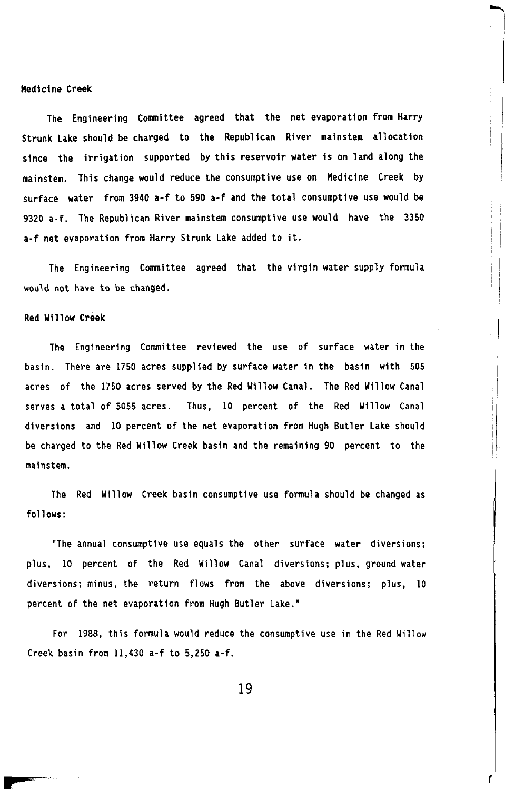#### **Medicine Creek**

**The Engineering Committee agreed that the net evaporation from Harry Strunk Lake should be charged to the Republican River mainstem allocation since the irrigation supported by this reservoir water is on land along the mainstem. This change would reduce the consumptive use on Medicine Creek by surface water from 3940 a-f to 590 a-f and the total consumptive use would be 9320 a-f. The Republican River mainstem consumptive use would have the 3350 a-f net evaporation from Harry Strunk Lake added to it.** 

**The Engineering Committee agreed that the virgin water supply formula would not have to be changed.** 

#### **Red Willow Creek**

**The Engineering Committee reviewed the use of surface water in the basin. There are 1750 acres supplied by surface water in the basin with 505 acres of the 1750 acres served by the Red Willow Canal. The Red Willow Canal serves a total of 5055 acres. Thus, 10 percent of the Red Willow Canal diversions and 10 percent of the net evaporation from Hugh Butler Lake should be charged to the Red Willow Creek basin and the remaining 90 percent to the mainstem** 

**The Red Willow Creek basin consumptive use formula should be changed as follows:** 

**"The annual consumptive use equals the other surface water diversions; plus, 10 percent of the Red Willow Canal diversions; plus, ground water diversions; minus, the return flows from the above diversions; plus, 10 percent of the net evaporation from Hugh Butler Lake."** 

**For 1988, this formula would reduce the consumptive use in the Red Willow Creek basin from 11,430 a-f to 5,250 a-f.**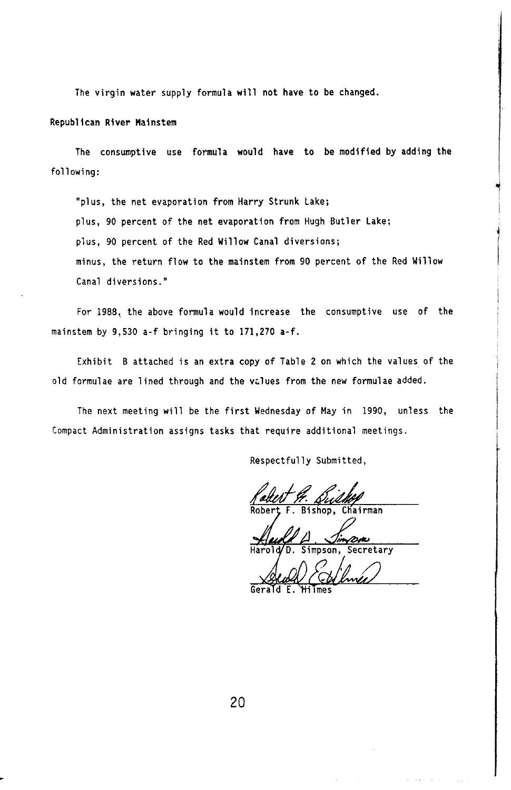**The virgin water supply formula will not have to be changed.** 

#### **Republican River Mainstem**

**The consumptive use formula would have to be modified by adding the**  following:

**"plus, the net evaporation from Harry Strunk Lake; plus,** 90 **percent of the net evaporation from Hugh Butler Lake; plus,** 90 **percent of the Red Willow Canal diversions; minus, the return flow to the mainstem from** 90 **percent of the Red Willow Canal diversions.** "

**For** 1988, **the above formula would increase the consumptive use** of **the mainstem by** 9,530 **a-f bringing it to 171,270 a-f.** 

**Exhibit B attached is an extra copy of [Table 2](#page-20-0) on which the values of the old formulae are lined through and the values from the new formulae added.** 

**The next meeting will be the first Wednesday of May in** 1990, **unless the Compact Administration assigns tasks that require additional meetings.** 

**Respectfully Submitted,** 

**Robert F. Bishop, Chairman Bishop, Chairman** 

**Harold D. Simpson, Secretary Secretary** 

**Gerald E. Gerald E. Hilmes**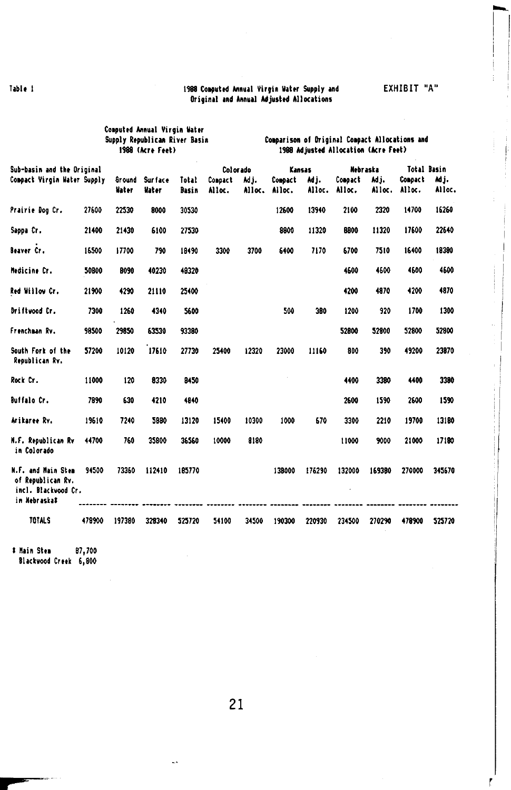#### <span id="page-19-0"></span>Table I 1988 Computed Annual Virgin Water Supply and Original and Annual Adjusted Allocations

|                                                                                |        | Computed Annual Virgin Water<br>Supply Republican River Basin | 1988 (Acre Feet)        |                       |                   | Comparison of Driginal Compact Allocations and<br>1988 Adjusted Allocation (Acre Feet) |                   |                |                   |               |                          |               |  |
|--------------------------------------------------------------------------------|--------|---------------------------------------------------------------|-------------------------|-----------------------|-------------------|----------------------------------------------------------------------------------------|-------------------|----------------|-------------------|---------------|--------------------------|---------------|--|
| Sub-basin and the Original                                                     |        |                                                               |                         |                       | Colorado          |                                                                                        | Kansas            |                | Nehraska          |               | <b>Total Basin</b>       |               |  |
| Compact Virgin Water Supply                                                    |        | <b>Ground</b><br>Water                                        | <b>Surface</b><br>Water | Total<br><b>Basin</b> | Compact<br>Alloc. | Mj.<br>Alloc.                                                                          | Compact<br>Alloc. | Adj.<br>Alloc. | Compact<br>Alloc. | Mj.<br>Alloc. | <b>Concact</b><br>Alloc. | Μj.<br>Alloc. |  |
| Prairie Dog Cr.                                                                | 27600  | 22530                                                         | 8000                    | 30530                 |                   |                                                                                        | 12600             | 13940          | 2100              | 2320          | 14700                    | 16260         |  |
| Sappa Cr.                                                                      | 21400  | 21430                                                         | 6100                    | 27530                 |                   |                                                                                        | 8800              | 11320          | 8800              | 11320         | 17600                    | 22640         |  |
| Beaver Cr.                                                                     | 16500  | 17700                                                         | 790                     | 18490                 | 3300              | 3700                                                                                   | 6400              | 7170           | 6700              | 7510          | 16400                    | 18380         |  |
| Medicine Cr.                                                                   | 50800  | 8090                                                          | 40230                   | 48320                 |                   |                                                                                        |                   |                | 4600              | 4600          | 4600                     | 4600          |  |
| Red Willow Cr.                                                                 | 21900  | 4290                                                          | 21110                   | 25400                 |                   |                                                                                        |                   |                | 4200              | 4870          | 4200                     | 4870          |  |
| Driftwood Cr.                                                                  | 7300   | 1260                                                          | 4340                    | 5600                  |                   |                                                                                        | 500               | 380            | 1200              | 920           | 1700                     | 1300          |  |
| Frenchman Rv.                                                                  | 98500  | 29850                                                         | 63530                   | 93380                 |                   |                                                                                        |                   |                | 52800             | 52800         | 52800                    | 52800         |  |
| South Fork of the<br>Republican Rv.                                            | 57200  | 10120                                                         | 17610                   | 27730                 | 25400             | 12320                                                                                  | 23000             | 11160          | 800               | 390           | 49200                    | 23870         |  |
| Rock Cr.                                                                       | 11000  | 120                                                           | 8330                    | 8450                  |                   |                                                                                        |                   |                | 4400              | 3380          | 4400                     | 3380          |  |
| <b>Buffalo Cr.</b>                                                             | 7890   | 630                                                           | 4210                    | 4840                  |                   |                                                                                        |                   |                | 2600              | 1590          | 2600                     | 1590          |  |
| Arikaree Rv.                                                                   | 19610  | 7240                                                          | 5980                    | 13120                 | 15400             | 10300                                                                                  | 1000              | 670            | 3300              | 2210          | 19700                    | 13180         |  |
| N.F. Republican Rv<br>in Colorado                                              | 44700  | 760                                                           | 35800                   | 36560                 | 10000             | 8180                                                                                   |                   |                | 11000             | 9000          | 21000                    | 17180         |  |
| N.F. and Main Stem<br>of Republican Rv.<br>incl. Blackwood Cr.<br>in Nebraska# | 94500  | 73360                                                         | 112410                  | 185770                |                   |                                                                                        | 138000            | 176290         | 132000            | 169380        | 270000                   | 345670        |  |
| <b>TOTALS</b>                                                                  | 478900 | 197380                                                        | 328340                  | 525720                | 54100             | 34500                                                                                  | 190300            | 220930         | 234500            | 270290        | 478900                   | 525720        |  |

Main **Stem** 87,700

Blackwood Creek 6,800

 $\ddotsc$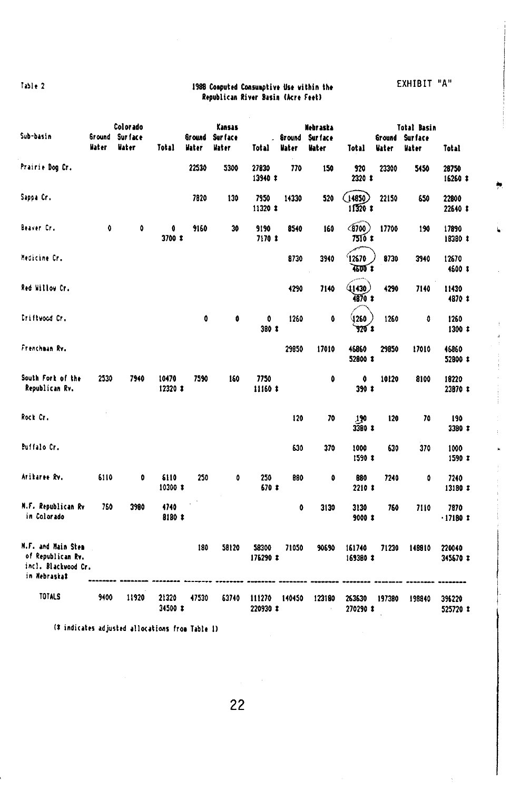#### <span id="page-20-0"></span>**EXHIBIT** "A" **1988 Computed Consumptive Use within the <b>EXHIBIT** "A" **Republican River Sarin (Acre feet)**

**Color ado Kansas Nebraska Total Sarin** 

| Sub-basin                                                                      | Ground<br>liater | <b>Surface</b><br>Water | Total             | Ground<br>Water | Sur face<br>Hater | <b>Total</b>       | Ground<br><b>Water</b> | <b>Surface</b><br>Hater | <b>Total</b>              | Ground<br>liater | <b>Surface</b><br>ilater | Total              |
|--------------------------------------------------------------------------------|------------------|-------------------------|-------------------|-----------------|-------------------|--------------------|------------------------|-------------------------|---------------------------|------------------|--------------------------|--------------------|
| Prairie Dog Cr.                                                                |                  |                         |                   | 22530           | 5300              | 27830<br>13940 *   | 770                    | 150                     | 920<br>2320 \$            | 23300            | 5450                     | 28750<br>16260 *   |
| Sappa Cr.                                                                      |                  |                         |                   | 7820            | 130               | 7950<br>11320 \$   | 14330                  | 520                     | 14850<br>$11320$ <b>t</b> | 22150            | 650                      | 22800<br>22640 #   |
| Beaver Cr.                                                                     | 0                | ٥                       | 0<br>3700 %       | 9160            | 30                | 9190<br>7170 1     | 8540                   | 160                     | (9700)<br>7510 x          | 17700            | 190                      | 17890<br>18380 *   |
| Medicine Cr.                                                                   |                  |                         |                   |                 |                   |                    | 8730                   | 3940                    | 12670<br>4500 t           | 8730             | 3940                     | 12670<br>4500 \$   |
| Red Willow Cr.                                                                 |                  |                         |                   |                 |                   |                    | 4290                   | 7140                    | 41430.<br>$4870*$         | 4290             | 7140                     | 11430<br>4870 %    |
| Driftwood Cr.                                                                  |                  |                         |                   | 0               | 0                 | 0<br>380 x         | 1260                   | 0                       | 1260<br>$920*$            | 1260             | ô                        | 1260<br>1300t      |
| Frenchman Rv.                                                                  |                  |                         |                   |                 |                   |                    | 29850                  | 17010                   | 46860<br>52800 %          | 29850            | 17010                    | 46860<br>52800 \$  |
| South Fork of the<br>Republican Rv.                                            | 2530             | 7940                    | 10470<br>12320 *  | 7590            | 160               | 7750<br>11160 *    |                        | 0                       | ٥<br>390 X                | 10120            | 8100                     | 19220<br>23870 *   |
| Rock Cr.                                                                       |                  |                         |                   |                 |                   |                    | 120                    | 70                      | 190<br>33B0 1             | 120              | 70                       | 190<br>3380 #      |
| <b>Buffalo Cr.</b>                                                             |                  |                         |                   |                 |                   |                    | 630                    | 370                     | 1000<br>1590t             | 630              | 370                      | 1000<br>1590 *     |
| Arikaree Rv.                                                                   | 6110             | ٥                       | 6110<br>10300 1   | 250             | 0                 | 250<br>570.2       | 880                    | 0                       | 880<br>2210 \$            | 7240             | ٥                        | 7240<br>13180 *    |
| M.F. Republican Rv<br>in Colorado                                              | 760              | 3980                    | 4740<br>8180 *    |                 |                   |                    | O                      | 3130                    | 3130<br>$9000$ $*$        | 760              | 7110                     | 7870<br>$-17180t$  |
| M.F. and Main Stem<br>of Republican Rv.<br>incl. Blackwood Cr.<br>in Nebraskal |                  |                         |                   | 180             | 58120             | 58300<br>175290 *  | 71050                  | 90690                   | 161740<br>169380 *        | 71230            | 148910                   | 220040<br>345670 * |
| <b>TOTALS</b>                                                                  | 9400             | 11920                   | 21320<br>34500 \$ | 47530           | 63740             | 111270<br>220930 * | 140450                 | 123180                  | 263630<br>270290 \$       | 197380           | 198840                   | 396220<br>525720 * |

**indicates adjusted allocations from Table 1)** 

22

 $\frac{1}{\sqrt{2}}$ 

 $\mathbf{r}$ 

 $\overline{1}$ J.

 $\tilde{\mathbf{x}}$